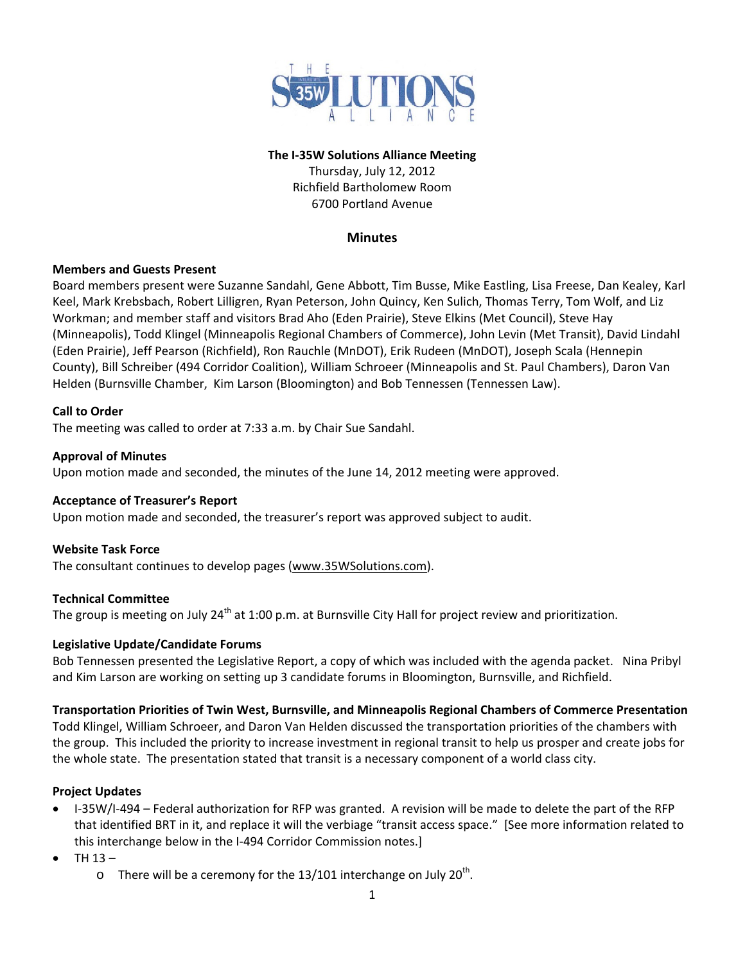

### **The I‐35W Solutions Alliance Meeting**

Thursday, July 12, 2012 Richfield Bartholomew Room 6700 Portland Avenue

### **Minutes**

# **Members and Guests Present**

Board members present were Suzanne Sandahl, Gene Abbott, Tim Busse, Mike Eastling, Lisa Freese, Dan Kealey, Karl Keel, Mark Krebsbach, Robert Lilligren, Ryan Peterson, John Quincy, Ken Sulich, Thomas Terry, Tom Wolf, and Liz Workman; and member staff and visitors Brad Aho (Eden Prairie), Steve Elkins (Met Council), Steve Hay (Minneapolis), Todd Klingel (Minneapolis Regional Chambers of Commerce), John Levin (Met Transit), David Lindahl (Eden Prairie), Jeff Pearson (Richfield), Ron Rauchle (MnDOT), Erik Rudeen (MnDOT), Joseph Scala (Hennepin County), Bill Schreiber (494 Corridor Coalition), William Schroeer (Minneapolis and St. Paul Chambers), Daron Van Helden (Burnsville Chamber, Kim Larson (Bloomington) and Bob Tennessen (Tennessen Law).

# **Call to Order**

The meeting was called to order at 7:33 a.m. by Chair Sue Sandahl.

### **Approval of Minutes**

Upon motion made and seconded, the minutes of the June 14, 2012 meeting were approved.

#### **Acceptance of Treasurer's Report**

Upon motion made and seconded, the treasurer's report was approved subject to audit.

# **Website Task Force**

The consultant continues to develop pages (www.35WSolutions.com).

#### **Technical Committee**

The group is meeting on July 24<sup>th</sup> at 1:00 p.m. at Burnsville City Hall for project review and prioritization.

#### **Legislative Update/Candidate Forums**

Bob Tennessen presented the Legislative Report, a copy of which was included with the agenda packet. Nina Pribyl and Kim Larson are working on setting up 3 candidate forums in Bloomington, Burnsville, and Richfield.

#### **Transportation Priorities of Twin West, Burnsville, and Minneapolis Regional Chambers of Commerce Presentation**

Todd Klingel, William Schroeer, and Daron Van Helden discussed the transportation priorities of the chambers with the group. This included the priority to increase investment in regional transit to help us prosper and create jobs for the whole state. The presentation stated that transit is a necessary component of a world class city.

# **Project Updates**

- I-35W/I-494 Federal authorization for RFP was granted. A revision will be made to delete the part of the RFP that identified BRT in it, and replace it will the verbiage "transit access space." [See more information related to this interchange below in the I-494 Corridor Commission notes.]
- TH 13
	- o There will be a ceremony for the 13/101 interchange on July 20<sup>th</sup>.